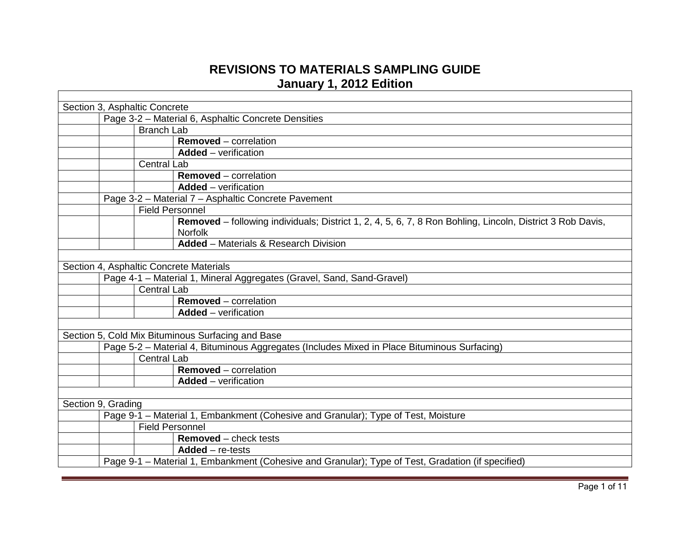## **REVISIONS TO MATERIALS SAMPLING GUIDE January 1, 2012 Edition**

| Section 3, Asphaltic Concrete |                                                                                   |                        |                                                                                                                             |  |
|-------------------------------|-----------------------------------------------------------------------------------|------------------------|-----------------------------------------------------------------------------------------------------------------------------|--|
|                               | Page 3-2 - Material 6, Asphaltic Concrete Densities                               |                        |                                                                                                                             |  |
|                               |                                                                                   | <b>Branch Lab</b>      |                                                                                                                             |  |
|                               |                                                                                   |                        | <b>Removed</b> – correlation                                                                                                |  |
|                               |                                                                                   |                        | <b>Added</b> – verification                                                                                                 |  |
|                               |                                                                                   | <b>Central Lab</b>     |                                                                                                                             |  |
|                               |                                                                                   |                        | <b>Removed</b> – correlation                                                                                                |  |
|                               |                                                                                   |                        | <b>Added</b> – verification                                                                                                 |  |
|                               |                                                                                   |                        | Page 3-2 - Material 7 - Asphaltic Concrete Pavement                                                                         |  |
|                               |                                                                                   | <b>Field Personnel</b> |                                                                                                                             |  |
|                               |                                                                                   |                        | Removed - following individuals; District 1, 2, 4, 5, 6, 7, 8 Ron Bohling, Lincoln, District 3 Rob Davis,<br><b>Norfolk</b> |  |
|                               |                                                                                   |                        | <b>Added</b> – Materials & Research Division                                                                                |  |
|                               |                                                                                   |                        |                                                                                                                             |  |
|                               |                                                                                   |                        | Section 4, Asphaltic Concrete Materials                                                                                     |  |
|                               |                                                                                   |                        | Page 4-1 - Material 1, Mineral Aggregates (Gravel, Sand, Sand-Gravel)                                                       |  |
|                               |                                                                                   | <b>Central Lab</b>     |                                                                                                                             |  |
|                               |                                                                                   |                        | <b>Removed</b> – correlation                                                                                                |  |
|                               |                                                                                   |                        | <b>Added</b> – verification                                                                                                 |  |
|                               |                                                                                   |                        |                                                                                                                             |  |
|                               |                                                                                   |                        | Section 5, Cold Mix Bituminous Surfacing and Base                                                                           |  |
|                               |                                                                                   |                        | Page 5-2 - Material 4, Bituminous Aggregates (Includes Mixed in Place Bituminous Surfacing)                                 |  |
|                               |                                                                                   | <b>Central Lab</b>     |                                                                                                                             |  |
|                               |                                                                                   |                        | <b>Removed</b> – correlation                                                                                                |  |
|                               |                                                                                   |                        | <b>Added</b> – verification                                                                                                 |  |
|                               |                                                                                   |                        |                                                                                                                             |  |
| Section 9, Grading            |                                                                                   |                        |                                                                                                                             |  |
|                               | Page 9-1 - Material 1, Embankment (Cohesive and Granular); Type of Test, Moisture |                        |                                                                                                                             |  |
|                               |                                                                                   | <b>Field Personnel</b> |                                                                                                                             |  |
|                               |                                                                                   |                        | <b>Removed</b> – check tests                                                                                                |  |
|                               |                                                                                   |                        | $Added - re-tests$                                                                                                          |  |
|                               |                                                                                   |                        | Page 9-1 - Material 1, Embankment (Cohesive and Granular); Type of Test, Gradation (if specified)                           |  |
|                               |                                                                                   |                        |                                                                                                                             |  |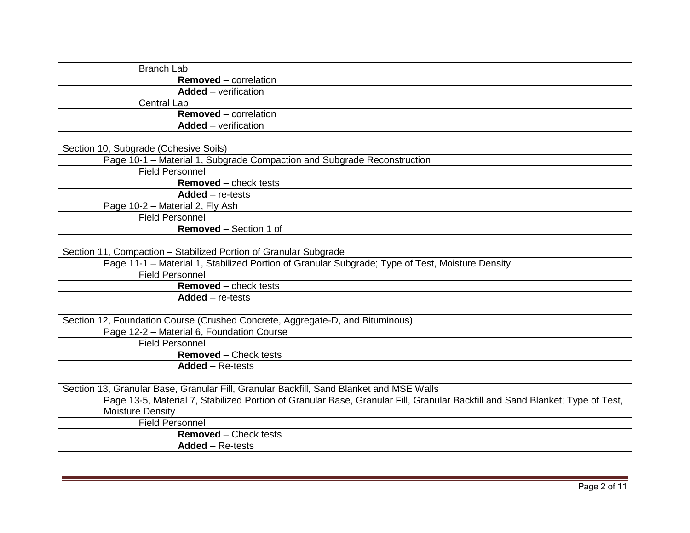| <b>Branch Lab</b>                                                                                                            |
|------------------------------------------------------------------------------------------------------------------------------|
| <b>Removed</b> – correlation                                                                                                 |
| <b>Added</b> – verification                                                                                                  |
| <b>Central Lab</b>                                                                                                           |
| <b>Removed</b> – correlation                                                                                                 |
| <b>Added</b> – verification                                                                                                  |
|                                                                                                                              |
| Section 10, Subgrade (Cohesive Soils)                                                                                        |
| Page 10-1 - Material 1, Subgrade Compaction and Subgrade Reconstruction                                                      |
| <b>Field Personnel</b>                                                                                                       |
| <b>Removed</b> – check tests                                                                                                 |
| $Added - re-tests$                                                                                                           |
| Page 10-2 - Material 2, Fly Ash                                                                                              |
| <b>Field Personnel</b>                                                                                                       |
| <b>Removed</b> – Section 1 of                                                                                                |
|                                                                                                                              |
| Section 11, Compaction - Stabilized Portion of Granular Subgrade                                                             |
| Page 11-1 - Material 1, Stabilized Portion of Granular Subgrade; Type of Test, Moisture Density                              |
| <b>Field Personnel</b>                                                                                                       |
| <b>Removed</b> – check tests                                                                                                 |
| $Added - re-tests$                                                                                                           |
|                                                                                                                              |
| Section 12, Foundation Course (Crushed Concrete, Aggregate-D, and Bituminous)                                                |
| Page 12-2 - Material 6, Foundation Course                                                                                    |
| <b>Field Personnel</b>                                                                                                       |
| <b>Removed</b> – Check tests                                                                                                 |
| $Added - Re\text{-}tests$                                                                                                    |
|                                                                                                                              |
| Section 13, Granular Base, Granular Fill, Granular Backfill, Sand Blanket and MSE Walls                                      |
| Page 13-5, Material 7, Stabilized Portion of Granular Base, Granular Fill, Granular Backfill and Sand Blanket; Type of Test, |
| <b>Moisture Density</b>                                                                                                      |
| <b>Field Personnel</b>                                                                                                       |
| <b>Removed</b> – Check tests                                                                                                 |
| $Added - Re-tests$                                                                                                           |
|                                                                                                                              |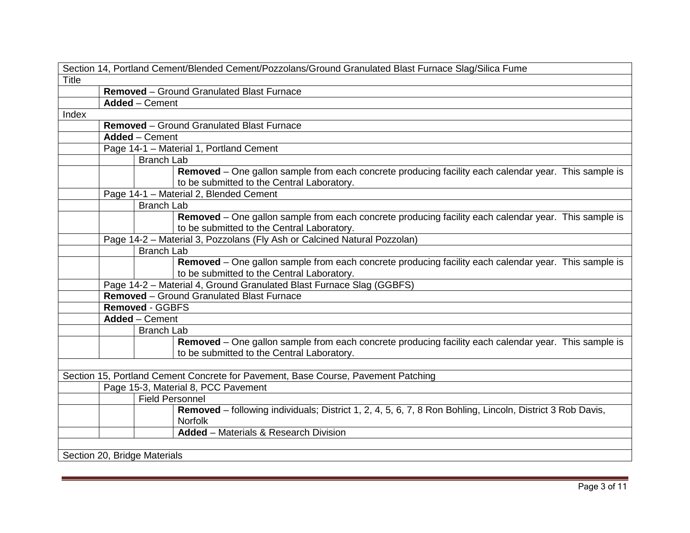| Section 14, Portland Cement/Blended Cement/Pozzolans/Ground Granulated Blast Furnace Slag/Silica Fume                                              |
|----------------------------------------------------------------------------------------------------------------------------------------------------|
| <b>Title</b>                                                                                                                                       |
| Removed - Ground Granulated Blast Furnace                                                                                                          |
| <b>Added</b> – Cement                                                                                                                              |
| Index                                                                                                                                              |
| <b>Removed</b> – Ground Granulated Blast Furnace                                                                                                   |
| <b>Added</b> - Cement                                                                                                                              |
| Page 14-1 - Material 1, Portland Cement                                                                                                            |
| <b>Branch Lab</b>                                                                                                                                  |
| Removed – One gallon sample from each concrete producing facility each calendar year. This sample is<br>to be submitted to the Central Laboratory. |
| Page 14-1 - Material 2, Blended Cement                                                                                                             |
| <b>Branch Lab</b>                                                                                                                                  |
| Removed - One gallon sample from each concrete producing facility each calendar year. This sample is                                               |
| to be submitted to the Central Laboratory.                                                                                                         |
| Page 14-2 - Material 3, Pozzolans (Fly Ash or Calcined Natural Pozzolan)                                                                           |
| <b>Branch Lab</b>                                                                                                                                  |
| Removed - One gallon sample from each concrete producing facility each calendar year. This sample is<br>to be submitted to the Central Laboratory. |
| Page 14-2 - Material 4, Ground Granulated Blast Furnace Slag (GGBFS)                                                                               |
| <b>Removed</b> - Ground Granulated Blast Furnace                                                                                                   |
| <b>Removed - GGBFS</b>                                                                                                                             |
| <b>Added</b> - Cement                                                                                                                              |
| <b>Branch Lab</b>                                                                                                                                  |
| Removed - One gallon sample from each concrete producing facility each calendar year. This sample is<br>to be submitted to the Central Laboratory. |
|                                                                                                                                                    |
| Section 15, Portland Cement Concrete for Pavement, Base Course, Pavement Patching                                                                  |
| Page 15-3, Material 8, PCC Pavement                                                                                                                |
| <b>Field Personnel</b>                                                                                                                             |
| Removed - following individuals; District 1, 2, 4, 5, 6, 7, 8 Ron Bohling, Lincoln, District 3 Rob Davis,<br><b>Norfolk</b>                        |
| <b>Added</b> - Materials & Research Division                                                                                                       |
|                                                                                                                                                    |
| Section 20, Bridge Materials                                                                                                                       |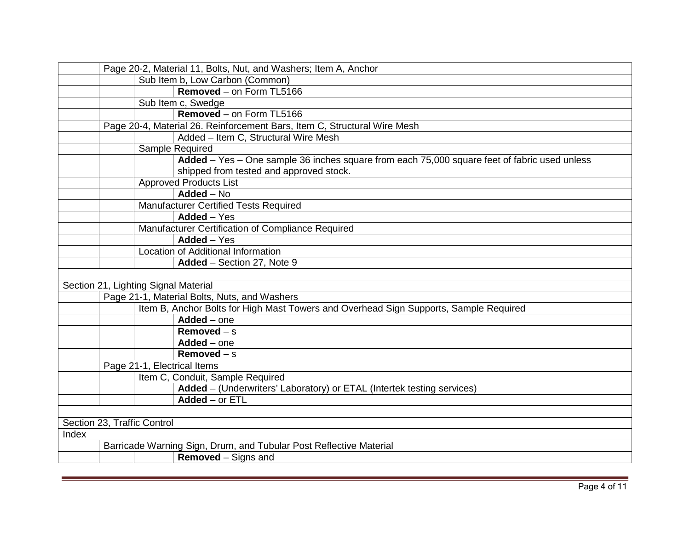|       | Page 20-2, Material 11, Bolts, Nut, and Washers; Item A, Anchor |                                 |                                                                                              |  |  |
|-------|-----------------------------------------------------------------|---------------------------------|----------------------------------------------------------------------------------------------|--|--|
|       |                                                                 | Sub Item b, Low Carbon (Common) |                                                                                              |  |  |
|       |                                                                 |                                 | Removed - on Form TL5166                                                                     |  |  |
|       |                                                                 | Sub Item c, Swedge              |                                                                                              |  |  |
|       |                                                                 |                                 | Removed - on Form TL5166                                                                     |  |  |
|       |                                                                 |                                 | Page 20-4, Material 26. Reinforcement Bars, Item C, Structural Wire Mesh                     |  |  |
|       |                                                                 |                                 | Added - Item C, Structural Wire Mesh                                                         |  |  |
|       |                                                                 |                                 | Sample Required                                                                              |  |  |
|       |                                                                 |                                 | Added - Yes - One sample 36 inches square from each 75,000 square feet of fabric used unless |  |  |
|       |                                                                 |                                 | shipped from tested and approved stock.                                                      |  |  |
|       |                                                                 |                                 | Approved Products List                                                                       |  |  |
|       |                                                                 |                                 | $Added - No$                                                                                 |  |  |
|       |                                                                 |                                 | <b>Manufacturer Certified Tests Required</b>                                                 |  |  |
|       |                                                                 |                                 | $Added - Yes$                                                                                |  |  |
|       |                                                                 |                                 | Manufacturer Certification of Compliance Required                                            |  |  |
|       |                                                                 |                                 | $\overline{\mathsf{A}}$ dded – Yes                                                           |  |  |
|       |                                                                 |                                 | Location of Additional Information                                                           |  |  |
|       |                                                                 |                                 | Added - Section 27, Note 9                                                                   |  |  |
|       |                                                                 |                                 |                                                                                              |  |  |
|       |                                                                 |                                 | Section 21, Lighting Signal Material                                                         |  |  |
|       |                                                                 |                                 | Page 21-1, Material Bolts, Nuts, and Washers                                                 |  |  |
|       |                                                                 |                                 | Item B, Anchor Bolts for High Mast Towers and Overhead Sign Supports, Sample Required        |  |  |
|       |                                                                 |                                 | $Added - one$                                                                                |  |  |
|       |                                                                 |                                 | Removed $-$ s                                                                                |  |  |
|       |                                                                 |                                 | $Added - one$                                                                                |  |  |
|       |                                                                 |                                 | Removed $-$ s                                                                                |  |  |
|       |                                                                 |                                 | Page 21-1, Electrical Items                                                                  |  |  |
|       |                                                                 |                                 | Item C, Conduit, Sample Required                                                             |  |  |
|       |                                                                 |                                 | Added - (Underwriters' Laboratory) or ETAL (Intertek testing services)                       |  |  |
|       |                                                                 |                                 | $Added - or ETL$                                                                             |  |  |
|       |                                                                 |                                 |                                                                                              |  |  |
|       |                                                                 | Section 23, Traffic Control     |                                                                                              |  |  |
| Index |                                                                 |                                 |                                                                                              |  |  |
|       |                                                                 |                                 | Barricade Warning Sign, Drum, and Tubular Post Reflective Material                           |  |  |
|       |                                                                 |                                 | <b>Removed</b> – Signs and                                                                   |  |  |
|       |                                                                 |                                 |                                                                                              |  |  |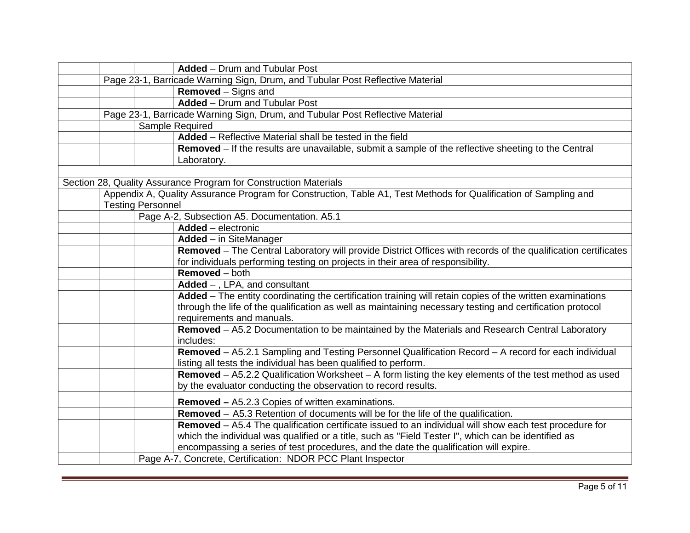| <b>Added</b> – Drum and Tubular Post                                                                                                                                                                                                                                                                   |
|--------------------------------------------------------------------------------------------------------------------------------------------------------------------------------------------------------------------------------------------------------------------------------------------------------|
| Page 23-1, Barricade Warning Sign, Drum, and Tubular Post Reflective Material                                                                                                                                                                                                                          |
| <b>Removed</b> – Signs and                                                                                                                                                                                                                                                                             |
| <b>Added</b> - Drum and Tubular Post                                                                                                                                                                                                                                                                   |
| Page 23-1, Barricade Warning Sign, Drum, and Tubular Post Reflective Material                                                                                                                                                                                                                          |
| Sample Required                                                                                                                                                                                                                                                                                        |
| Added – Reflective Material shall be tested in the field                                                                                                                                                                                                                                               |
| Removed – If the results are unavailable, submit a sample of the reflective sheeting to the Central<br>Laboratory.                                                                                                                                                                                     |
|                                                                                                                                                                                                                                                                                                        |
| Section 28, Quality Assurance Program for Construction Materials                                                                                                                                                                                                                                       |
| Appendix A, Quality Assurance Program for Construction, Table A1, Test Methods for Qualification of Sampling and<br><b>Testing Personnel</b>                                                                                                                                                           |
| Page A-2, Subsection A5. Documentation. A5.1                                                                                                                                                                                                                                                           |
| Added - electronic                                                                                                                                                                                                                                                                                     |
| <b>Added</b> - in SiteManager                                                                                                                                                                                                                                                                          |
| Removed - The Central Laboratory will provide District Offices with records of the qualification certificates                                                                                                                                                                                          |
| for individuals performing testing on projects in their area of responsibility.                                                                                                                                                                                                                        |
| Removed - both                                                                                                                                                                                                                                                                                         |
| $Added -$ , LPA, and consultant                                                                                                                                                                                                                                                                        |
| Added - The entity coordinating the certification training will retain copies of the written examinations                                                                                                                                                                                              |
| through the life of the qualification as well as maintaining necessary testing and certification protocol<br>requirements and manuals.                                                                                                                                                                 |
| Removed - A5.2 Documentation to be maintained by the Materials and Research Central Laboratory<br>includes:                                                                                                                                                                                            |
| Removed - A5.2.1 Sampling and Testing Personnel Qualification Record - A record for each individual<br>listing all tests the individual has been qualified to perform.                                                                                                                                 |
| Removed - A5.2.2 Qualification Worksheet - A form listing the key elements of the test method as used<br>by the evaluator conducting the observation to record results.                                                                                                                                |
| <b>Removed - A5.2.3 Copies of written examinations.</b>                                                                                                                                                                                                                                                |
| Removed - A5.3 Retention of documents will be for the life of the qualification.                                                                                                                                                                                                                       |
| Removed - A5.4 The qualification certificate issued to an individual will show each test procedure for<br>which the individual was qualified or a title, such as "Field Tester I", which can be identified as<br>encompassing a series of test procedures, and the date the qualification will expire. |
| Page A-7, Concrete, Certification: NDOR PCC Plant Inspector                                                                                                                                                                                                                                            |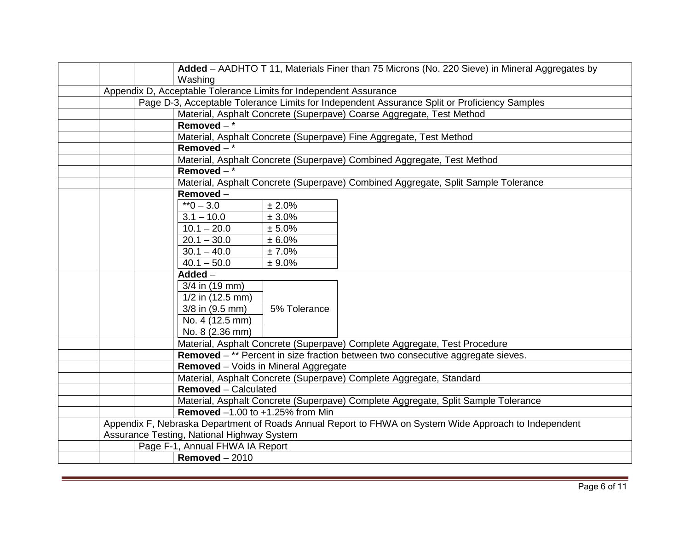|  | Added - AADHTO T 11, Materials Finer than 75 Microns (No. 220 Sieve) in Mineral Aggregates by         |
|--|-------------------------------------------------------------------------------------------------------|
|  | Washing                                                                                               |
|  | Appendix D, Acceptable Tolerance Limits for Independent Assurance                                     |
|  | Page D-3, Acceptable Tolerance Limits for Independent Assurance Split or Proficiency Samples          |
|  | Material, Asphalt Concrete (Superpave) Coarse Aggregate, Test Method                                  |
|  | Removed $-\frac{1}{x}$                                                                                |
|  | Material, Asphalt Concrete (Superpave) Fine Aggregate, Test Method                                    |
|  | Removed $-$ *                                                                                         |
|  | Material, Asphalt Concrete (Superpave) Combined Aggregate, Test Method                                |
|  | Removed $-$ *                                                                                         |
|  | Material, Asphalt Concrete (Superpave) Combined Aggregate, Split Sample Tolerance                     |
|  | Removed-                                                                                              |
|  | $*0 - 3.0$<br>± 2.0%                                                                                  |
|  | $3.1 - 10.0$<br>± 3.0%                                                                                |
|  | $\overline{10.1} - 20.0$<br>± 5.0%                                                                    |
|  | $20.1 - 30.0$<br>± 6.0%                                                                               |
|  | $30.1 - 40.0$<br>± 7.0%                                                                               |
|  | $40.1 - 50.0$<br>± 9.0%                                                                               |
|  | $Added -$                                                                                             |
|  | 3/4 in (19 mm)                                                                                        |
|  | 1/2 in (12.5 mm)                                                                                      |
|  | 3/8 in (9.5 mm)<br>5% Tolerance                                                                       |
|  | No. 4 (12.5 mm)                                                                                       |
|  | No. 8 (2.36 mm)                                                                                       |
|  | Material, Asphalt Concrete (Superpave) Complete Aggregate, Test Procedure                             |
|  | Removed - ** Percent in size fraction between two consecutive aggregate sieves.                       |
|  | Removed - Voids in Mineral Aggregate                                                                  |
|  | Material, Asphalt Concrete (Superpave) Complete Aggregate, Standard                                   |
|  | <b>Removed</b> – Calculated                                                                           |
|  | Material, Asphalt Concrete (Superpave) Complete Aggregate, Split Sample Tolerance                     |
|  | <b>Removed</b> -1.00 to +1.25% from Min                                                               |
|  | Appendix F, Nebraska Department of Roads Annual Report to FHWA on System Wide Approach to Independent |
|  | Assurance Testing, National Highway System                                                            |
|  | Page F-1, Annual FHWA IA Report                                                                       |
|  | Removed $-2010$                                                                                       |
|  |                                                                                                       |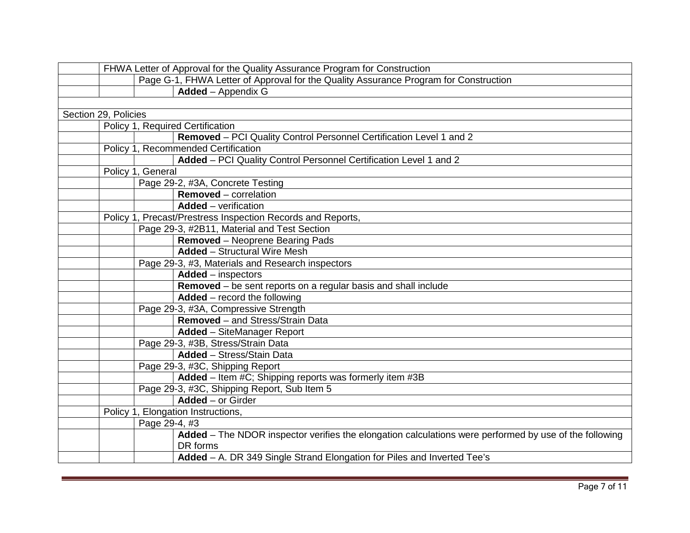|                      | FHWA Letter of Approval for the Quality Assurance Program for Construction                             |
|----------------------|--------------------------------------------------------------------------------------------------------|
|                      | Page G-1, FHWA Letter of Approval for the Quality Assurance Program for Construction                   |
|                      | Added - Appendix G                                                                                     |
|                      |                                                                                                        |
| Section 29, Policies |                                                                                                        |
|                      | Policy 1, Required Certification                                                                       |
|                      | Removed - PCI Quality Control Personnel Certification Level 1 and 2                                    |
|                      | Policy 1, Recommended Certification                                                                    |
|                      | Added - PCI Quality Control Personnel Certification Level 1 and 2                                      |
| Policy 1, General    |                                                                                                        |
|                      | Page 29-2, #3A, Concrete Testing                                                                       |
|                      | <b>Removed</b> – correlation                                                                           |
|                      | <b>Added</b> – verification                                                                            |
|                      | Policy 1, Precast/Prestress Inspection Records and Reports,                                            |
|                      | Page 29-3, #2B11, Material and Test Section                                                            |
|                      | <b>Removed</b> - Neoprene Bearing Pads                                                                 |
|                      | <b>Added</b> - Structural Wire Mesh                                                                    |
|                      | Page 29-3, #3, Materials and Research inspectors                                                       |
|                      | Added - inspectors                                                                                     |
|                      | Removed - be sent reports on a regular basis and shall include                                         |
|                      | <b>Added</b> – record the following                                                                    |
|                      | Page 29-3, #3A, Compressive Strength                                                                   |
|                      | Removed - and Stress/Strain Data                                                                       |
|                      | <b>Added</b> - SiteManager Report                                                                      |
|                      | Page 29-3, #3B, Stress/Strain Data                                                                     |
|                      | <b>Added</b> - Stress/Stain Data                                                                       |
|                      | Page 29-3, #3C, Shipping Report                                                                        |
|                      | Added - Item #C; Shipping reports was formerly item #3B                                                |
|                      | Page 29-3, #3C, Shipping Report, Sub Item 5                                                            |
|                      | $Added - or Girder$                                                                                    |
|                      | Policy 1, Elongation Instructions,                                                                     |
|                      | Page 29-4, #3                                                                                          |
|                      | Added - The NDOR inspector verifies the elongation calculations were performed by use of the following |
|                      | DR forms                                                                                               |
|                      | Added - A. DR 349 Single Strand Elongation for Piles and Inverted Tee's                                |
|                      |                                                                                                        |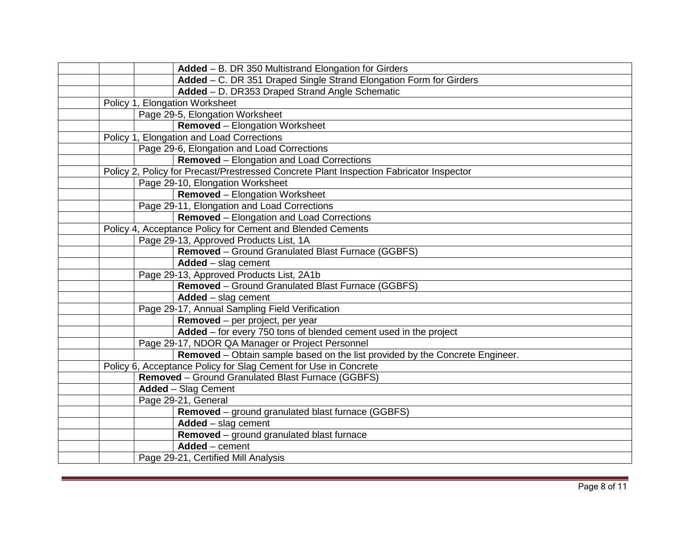|  | Added - B. DR 350 Multistrand Elongation for Girders                                    |
|--|-----------------------------------------------------------------------------------------|
|  | Added - C. DR 351 Draped Single Strand Elongation Form for Girders                      |
|  | Added - D. DR353 Draped Strand Angle Schematic                                          |
|  | Policy 1, Elongation Worksheet                                                          |
|  | Page 29-5, Elongation Worksheet                                                         |
|  | <b>Removed</b> - Elongation Worksheet                                                   |
|  | Policy 1, Elongation and Load Corrections                                               |
|  | Page 29-6, Elongation and Load Corrections                                              |
|  | <b>Removed</b> – Elongation and Load Corrections                                        |
|  | Policy 2, Policy for Precast/Prestressed Concrete Plant Inspection Fabricator Inspector |
|  | Page 29-10, Elongation Worksheet                                                        |
|  | <b>Removed</b> – Elongation Worksheet                                                   |
|  | Page 29-11, Elongation and Load Corrections                                             |
|  | <b>Removed</b> – Elongation and Load Corrections                                        |
|  | Policy 4, Acceptance Policy for Cement and Blended Cements                              |
|  | Page 29-13, Approved Products List, 1A                                                  |
|  | <b>Removed</b> – Ground Granulated Blast Furnace (GGBFS)                                |
|  | Added - slag cement                                                                     |
|  | Page 29-13, Approved Products List, 2A1b                                                |
|  | Removed - Ground Granulated Blast Furnace (GGBFS)                                       |
|  | $Added - slag cement$                                                                   |
|  | Page 29-17, Annual Sampling Field Verification                                          |
|  | Removed - per project, per year                                                         |
|  | Added - for every 750 tons of blended cement used in the project                        |
|  | Page 29-17, NDOR QA Manager or Project Personnel                                        |
|  | Removed – Obtain sample based on the list provided by the Concrete Engineer.            |
|  | Policy 6, Acceptance Policy for Slag Cement for Use in Concrete                         |
|  | Removed - Ground Granulated Blast Furnace (GGBFS)                                       |
|  | <b>Added</b> - Slag Cement                                                              |
|  | Page 29-21, General                                                                     |
|  | Removed - ground granulated blast furnace (GGBFS)                                       |
|  | $Added - slag cement$                                                                   |
|  | Removed - ground granulated blast furnace                                               |
|  | $Added$ - cement                                                                        |
|  | Page 29-21, Certified Mill Analysis                                                     |
|  |                                                                                         |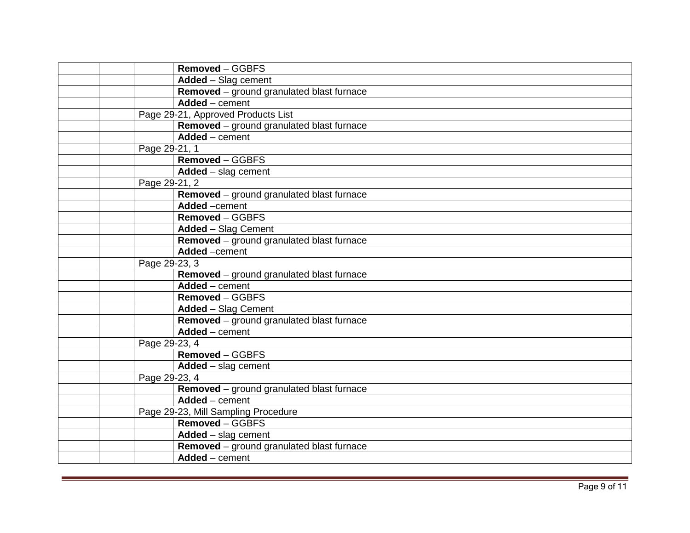| Removed - GGBFS                                           |
|-----------------------------------------------------------|
| Added - Slag cement                                       |
| Removed - ground granulated blast furnace                 |
| Added - cement                                            |
| Page 29-21, Approved Products List                        |
| Removed - ground granulated blast furnace                 |
| $Added$ - cement                                          |
| Page 29-21, 1                                             |
| Removed - GGBFS                                           |
| $Added - slag cement$                                     |
| Page 29-21, 2                                             |
| Removed - ground granulated blast furnace                 |
| Added -cement                                             |
| Removed - GGBFS                                           |
| <b>Added</b> - Slag Cement                                |
| Removed - ground granulated blast furnace                 |
| Added -cement                                             |
| Page 29-23, 3                                             |
| Removed - ground granulated blast furnace                 |
| $\overline{\mathsf{Added}} - \overline{\mathsf{cem}}$ ent |
| Removed - GGBFS                                           |
| <b>Added - Slag Cement</b>                                |
| Removed - ground granulated blast furnace                 |
| $Added$ - cement                                          |
| Page 29-23, 4                                             |
| Removed - GGBFS                                           |
| Added - slag cement                                       |
| Page 29-23, 4                                             |
| Removed - ground granulated blast furnace                 |
| Added - cement                                            |
| Page 29-23, Mill Sampling Procedure                       |
| Removed - GGBFS                                           |
| $Added - slag cement$                                     |
| Removed - ground granulated blast furnace                 |
| Added - cement                                            |
|                                                           |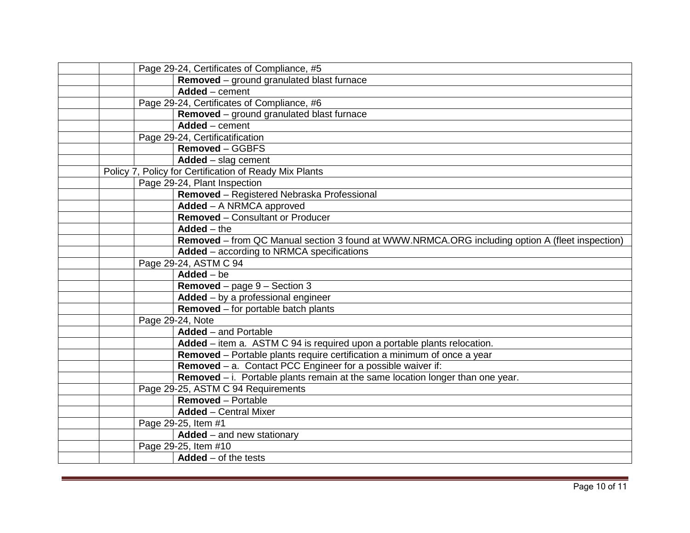|  | Page 29-24, Certificates of Compliance, #5                                                      |
|--|-------------------------------------------------------------------------------------------------|
|  | Removed - ground granulated blast furnace                                                       |
|  | Added - cement                                                                                  |
|  | Page 29-24, Certificates of Compliance, #6                                                      |
|  | Removed - ground granulated blast furnace                                                       |
|  | Added - cement                                                                                  |
|  | Page 29-24, Certificatification                                                                 |
|  | Removed - GGBFS                                                                                 |
|  | $Added - slag cement$                                                                           |
|  | Policy 7, Policy for Certification of Ready Mix Plants                                          |
|  | Page 29-24, Plant Inspection                                                                    |
|  | Removed - Registered Nebraska Professional                                                      |
|  | Added - A NRMCA approved                                                                        |
|  | Removed - Consultant or Producer                                                                |
|  | $Added - the$                                                                                   |
|  | Removed - from QC Manual section 3 found at WWW.NRMCA.ORG including option A (fleet inspection) |
|  | <b>Added</b> – according to NRMCA specifications                                                |
|  | Page 29-24, ASTM C 94                                                                           |
|  | $Added - be$                                                                                    |
|  | <b>Removed</b> – page $9$ – Section 3                                                           |
|  | $Added - by a professional engineer$                                                            |
|  | Removed - for portable batch plants                                                             |
|  | Page 29-24, Note                                                                                |
|  | $Added$ – and Portable                                                                          |
|  | Added – item a. ASTM C 94 is required upon a portable plants relocation.                        |
|  | Removed - Portable plants require certification a minimum of once a year                        |
|  | Removed - a. Contact PCC Engineer for a possible waiver if:                                     |
|  | Removed $-$ i. Portable plants remain at the same location longer than one year.                |
|  | Page 29-25, ASTM C 94 Requirements                                                              |
|  | <b>Removed</b> - Portable                                                                       |
|  | <b>Added</b> - Central Mixer                                                                    |
|  | Page 29-25, Item #1                                                                             |
|  | $Added$ – and new stationary                                                                    |
|  | Page 29-25, Item #10                                                                            |
|  | $Added - of the tests$                                                                          |
|  |                                                                                                 |